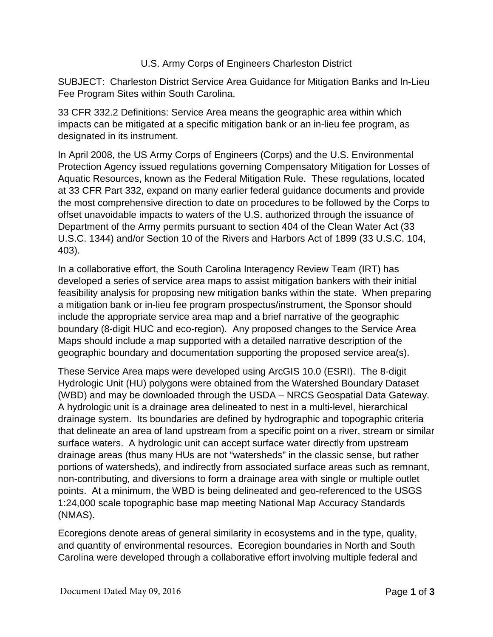## U.S. Army Corps of Engineers Charleston District

SUBJECT: Charleston District Service Area Guidance for Mitigation Banks and In-Lieu Fee Program Sites within South Carolina.

33 CFR 332.2 Definitions: Service Area means the geographic area within which impacts can be mitigated at a specific mitigation bank or an in-lieu fee program, as designated in its instrument.

In April 2008, the US Army Corps of Engineers (Corps) and the U.S. Environmental Protection Agency issued regulations governing Compensatory Mitigation for Losses of Aquatic Resources, known as the Federal Mitigation Rule. These regulations, located at 33 CFR Part 332, expand on many earlier federal guidance documents and provide the most comprehensive direction to date on procedures to be followed by the Corps to offset unavoidable impacts to waters of the U.S. authorized through the issuance of Department of the Army permits pursuant to section 404 of the Clean Water Act (33 U.S.C. 1344) and/or Section 10 of the Rivers and Harbors Act of 1899 (33 U.S.C. 104, 403).

In a collaborative effort, the South Carolina Interagency Review Team (IRT) has developed a series of service area maps to assist mitigation bankers with their initial feasibility analysis for proposing new mitigation banks within the state. When preparing a mitigation bank or in-lieu fee program prospectus/instrument, the Sponsor should include the appropriate service area map and a brief narrative of the geographic boundary (8-digit HUC and eco-region). Any proposed changes to the Service Area Maps should include a map supported with a detailed narrative description of the geographic boundary and documentation supporting the proposed service area(s).

These Service Area maps were developed using ArcGIS 10.0 (ESRI). The 8-digit Hydrologic Unit (HU) polygons were obtained from the Watershed Boundary Dataset (WBD) and may be downloaded through the USDA – NRCS Geospatial Data Gateway. A hydrologic unit is a drainage area delineated to nest in a multi-level, hierarchical drainage system. Its boundaries are defined by hydrographic and topographic criteria that delineate an area of land upstream from a specific point on a river, stream or similar surface waters. A hydrologic unit can accept surface water directly from upstream drainage areas (thus many HUs are not "watersheds" in the classic sense, but rather portions of watersheds), and indirectly from associated surface areas such as remnant, non-contributing, and diversions to form a drainage area with single or multiple outlet points. At a minimum, the WBD is being delineated and geo-referenced to the USGS 1:24,000 scale topographic base map meeting National Map Accuracy Standards (NMAS).

Ecoregions denote areas of general similarity in ecosystems and in the type, quality, and quantity of environmental resources. Ecoregion boundaries in North and South Carolina were developed through a collaborative effort involving multiple federal and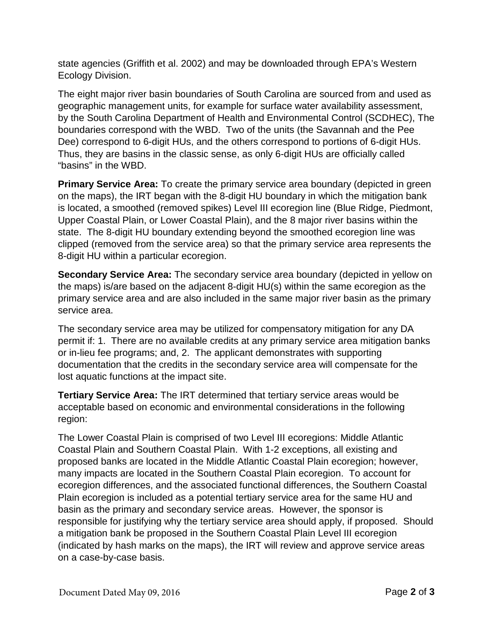state agencies (Griffith et al. 2002) and may be downloaded through EPA's Western Ecology Division.

The eight major river basin boundaries of South Carolina are sourced from and used as geographic management units, for example for surface water availability assessment, by the South Carolina Department of Health and Environmental Control (SCDHEC), The boundaries correspond with the WBD. Two of the units (the Savannah and the Pee Dee) correspond to 6-digit HUs, and the others correspond to portions of 6-digit HUs. Thus, they are basins in the classic sense, as only 6-digit HUs are officially called "basins" in the WBD.

**Primary Service Area:** To create the primary service area boundary (depicted in green on the maps), the IRT began with the 8-digit HU boundary in which the mitigation bank is located, a smoothed (removed spikes) Level III ecoregion line (Blue Ridge, Piedmont, Upper Coastal Plain, or Lower Coastal Plain), and the 8 major river basins within the state. The 8-digit HU boundary extending beyond the smoothed ecoregion line was clipped (removed from the service area) so that the primary service area represents the 8-digit HU within a particular ecoregion.

**Secondary Service Area:** The secondary service area boundary (depicted in yellow on the maps) is/are based on the adjacent 8-digit HU(s) within the same ecoregion as the primary service area and are also included in the same major river basin as the primary service area.

The secondary service area may be utilized for compensatory mitigation for any DA permit if: 1. There are no available credits at any primary service area mitigation banks or in-lieu fee programs; and, 2. The applicant demonstrates with supporting documentation that the credits in the secondary service area will compensate for the lost aquatic functions at the impact site.

**Tertiary Service Area:** The IRT determined that tertiary service areas would be acceptable based on economic and environmental considerations in the following region:

The Lower Coastal Plain is comprised of two Level III ecoregions: Middle Atlantic Coastal Plain and Southern Coastal Plain. With 1-2 exceptions, all existing and proposed banks are located in the Middle Atlantic Coastal Plain ecoregion; however, many impacts are located in the Southern Coastal Plain ecoregion. To account for ecoregion differences, and the associated functional differences, the Southern Coastal Plain ecoregion is included as a potential tertiary service area for the same HU and basin as the primary and secondary service areas. However, the sponsor is responsible for justifying why the tertiary service area should apply, if proposed. Should a mitigation bank be proposed in the Southern Coastal Plain Level III ecoregion (indicated by hash marks on the maps), the IRT will review and approve service areas on a case-by-case basis.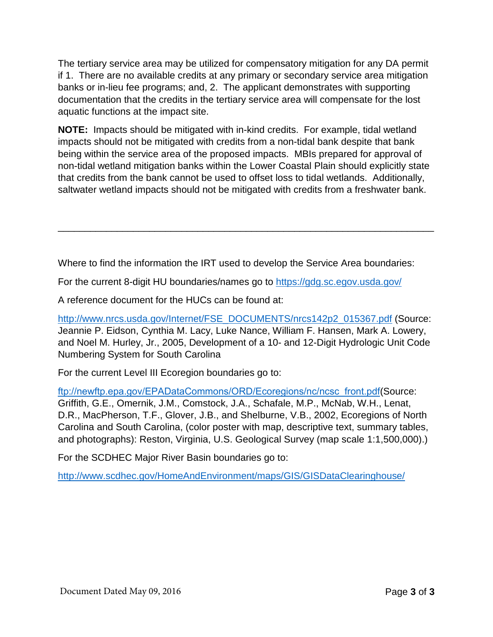The tertiary service area may be utilized for compensatory mitigation for any DA permit if 1. There are no available credits at any primary or secondary service area mitigation banks or in-lieu fee programs; and, 2. The applicant demonstrates with supporting documentation that the credits in the tertiary service area will compensate for the lost aquatic functions at the impact site.

**NOTE:** Impacts should be mitigated with in-kind credits. For example, tidal wetland impacts should not be mitigated with credits from a non-tidal bank despite that bank being within the service area of the proposed impacts. MBIs prepared for approval of non-tidal wetland mitigation banks within the Lower Coastal Plain should explicitly state that credits from the bank cannot be used to offset loss to tidal wetlands. Additionally, saltwater wetland impacts should not be mitigated with credits from a freshwater bank.

\_\_\_\_\_\_\_\_\_\_\_\_\_\_\_\_\_\_\_\_\_\_\_\_\_\_\_\_\_\_\_\_\_\_\_\_\_\_\_\_\_\_\_\_\_\_\_\_\_\_\_\_\_\_\_\_\_\_\_\_\_\_\_\_\_\_\_\_\_\_

Where to find the information the IRT used to develop the Service Area boundaries:

For the current 8-digit HU boundaries/names go to<https://gdg.sc.egov.usda.gov/>

A reference document for the HUCs can be found at:

[http://www.nrcs.usda.gov/Internet/FSE\\_DOCUMENTS/nrcs142p2\\_015367.pdf](http://www.nrcs.usda.gov/Internet/FSE_DOCUMENTS/nrcs142p2_015367.pdf) (Source: Jeannie P. Eidson, Cynthia M. Lacy, Luke Nance, William F. Hansen, Mark A. Lowery, and Noel M. Hurley, Jr., 2005, Development of a 10- and 12-Digit Hydrologic Unit Code Numbering System for South Carolina

For the current Level III Ecoregion boundaries go to:

[ftp://newftp.epa.gov/EPADataCommons/ORD/Ecoregions/nc/ncs](https://archive.epa.gov/wed/ecoregions/web/html/ncsc_eco.html)c\_front.pdf(Source: Griffith, G.E., Omernik, J.M., Comstock, J.A., Schafale, M.P., McNab, W.H., Lenat, D.R., MacPherson, T.F., Glover, J.B., and Shelburne, V.B., 2002, Ecoregions of North Carolina and South Carolina, (color poster with map, descriptive text, summary tables, and photographs): Reston, Virginia, U.S. Geological Survey (map scale 1:1,500,000).)

For the SCDHEC Major River Basin boundaries go to:

<http://www.scdhec.gov/HomeAndEnvironment/maps/GIS/GISDataClearinghouse/>